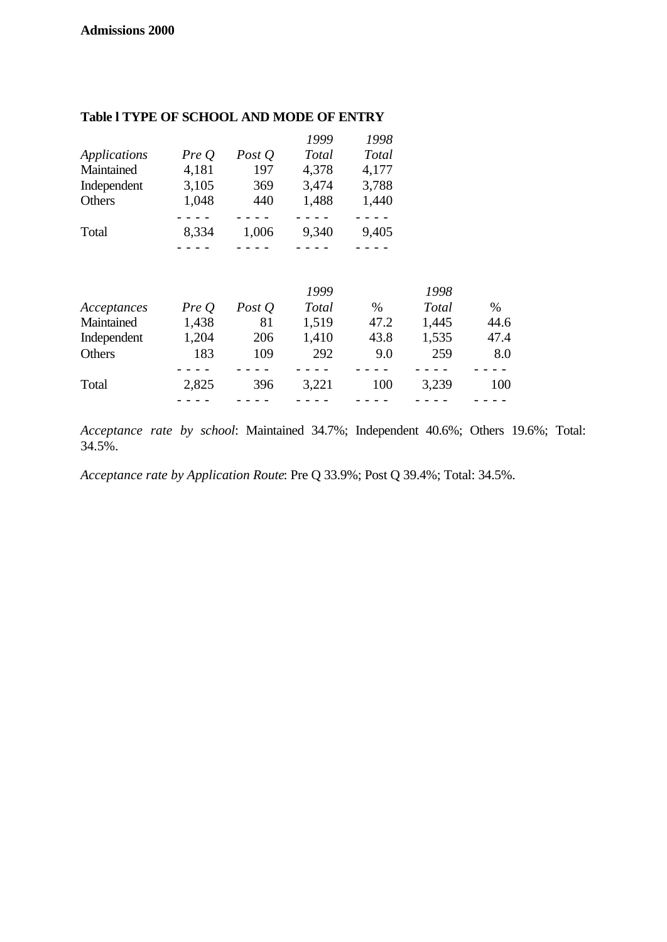|              |       |          | 1999  | 1998  |
|--------------|-------|----------|-------|-------|
| Applications | PreQ  | Post $Q$ | Total | Total |
| Maintained   | 4,181 | 197      | 4,378 | 4,177 |
| Independent  | 3,105 | 369      | 3,474 | 3,788 |
| Others       | 1,048 | 440      | 1,488 | 1,440 |
|              |       |          |       |       |
| Total        | 8,334 | 1,006    | 9,340 | 9,405 |
|              |       |          |       |       |

#### **Table l TYPE OF SCHOOL AND MODE OF ENTRY**

|               |       |          | 1999  |      | 1998         |      |
|---------------|-------|----------|-------|------|--------------|------|
| Acceptances   | PreQ  | Post $Q$ | Total | $\%$ | <b>Total</b> | $\%$ |
| Maintained    | 1,438 | 81       | 1,519 | 47.2 | 1,445        | 44.6 |
| Independent   | 1,204 | 206      | 1,410 | 43.8 | 1,535        | 47.4 |
| <b>Others</b> | 183   | 109      | 292   | 9.0  | 259          | 8.0  |
|               |       |          |       |      |              |      |
| Total         | 2,825 | 396      | 3,221 | 100  | 3,239        | 100  |
|               |       |          |       |      |              |      |

*Acceptance rate by school*: Maintained 34.7%; Independent 40.6%; Others 19.6%; Total: 34.5%.

*Acceptance rate by Application Route*: Pre Q 33.9%; Post Q 39.4%; Total: 34.5%.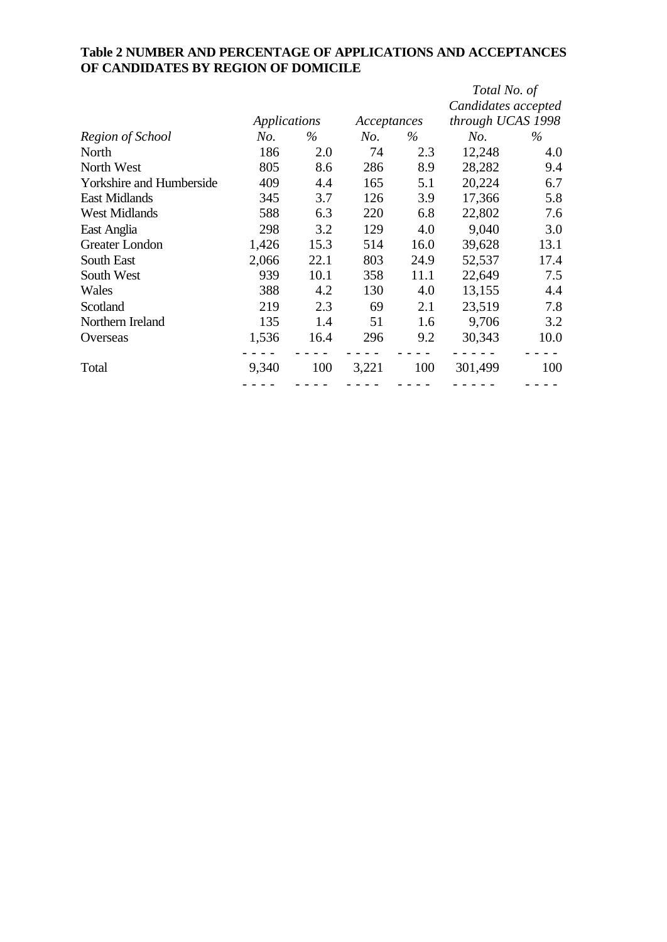# **Table 2 NUMBER AND PERCENTAGE OF APPLICATIONS AND ACCEPTANCES OF CANDIDATES BY REGION OF DOMICILE**

|                                 |       |              |       |             | Total No. of        |      |
|---------------------------------|-------|--------------|-------|-------------|---------------------|------|
|                                 |       |              |       |             | Candidates accepted |      |
|                                 |       | Applications |       | Acceptances | through UCAS 1998   |      |
| Region of School                | No.   | $\%$         | No.   | $\%$        | No.                 | $\%$ |
| North                           | 186   | 2.0          | 74    | 2.3         | 12,248              | 4.0  |
| North West                      | 805   | 8.6          | 286   | 8.9         | 28,282              | 9.4  |
| <b>Yorkshire and Humberside</b> | 409   | 4.4          | 165   | 5.1         | 20,224              | 6.7  |
| <b>East Midlands</b>            | 345   | 3.7          | 126   | 3.9         | 17,366              | 5.8  |
| <b>West Midlands</b>            | 588   | 6.3          | 220   | 6.8         | 22,802              | 7.6  |
| East Anglia                     | 298   | 3.2          | 129   | 4.0         | 9,040               | 3.0  |
| Greater London                  | 1,426 | 15.3         | 514   | 16.0        | 39,628              | 13.1 |
| South East                      | 2,066 | 22.1         | 803   | 24.9        | 52,537              | 17.4 |
| South West                      | 939   | 10.1         | 358   | 11.1        | 22,649              | 7.5  |
| Wales                           | 388   | 4.2          | 130   | 4.0         | 13,155              | 4.4  |
| Scotland                        | 219   | 2.3          | 69    | 2.1         | 23,519              | 7.8  |
| Northern Ireland                | 135   | 1.4          | 51    | 1.6         | 9,706               | 3.2  |
| Overseas                        | 1,536 | 16.4         | 296   | 9.2         | 30,343              | 10.0 |
| Total                           | 9,340 | 100          | 3,221 | 100         | 301,499             | 100  |
|                                 |       |              |       |             |                     |      |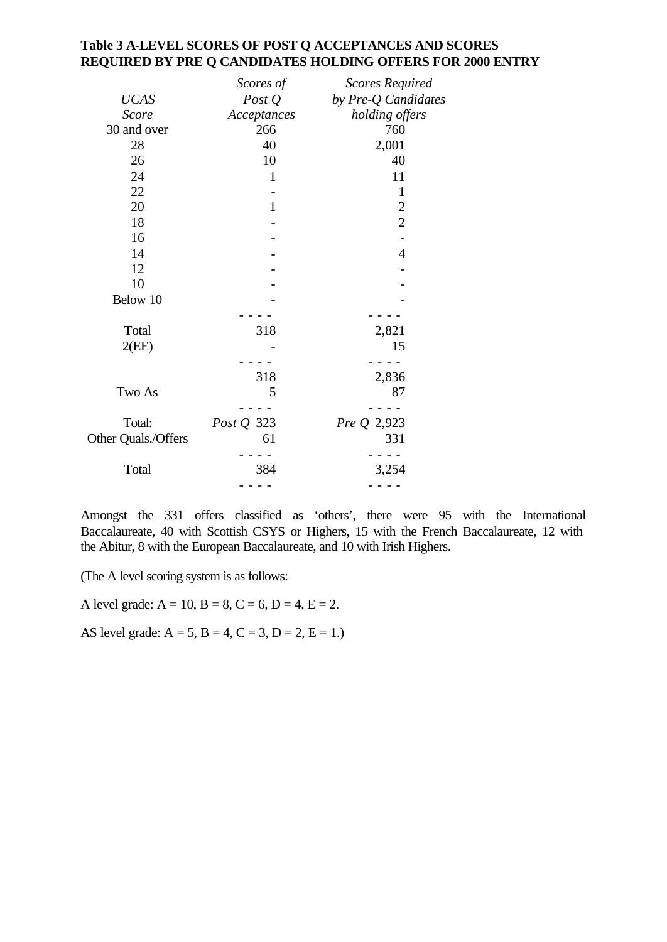### **Table 3 A-LEVEL SCORES OF POST Q ACCEPTANCES AND SCORES REQUIRED BY PRE Q CANDIDATES HOLDING OFFERS FOR 2000 ENTRY**

|                     | Scores of    | <b>Scores Required</b> |
|---------------------|--------------|------------------------|
| <b>UCAS</b>         | Post $Q$     | by Pre-Q Candidates    |
| <b>Score</b>        | Acceptances  | holding offers         |
| 30 and over         | 266          | 760                    |
| 28                  | 40           | 2,001                  |
| 26                  | 10           | 40                     |
| 24                  | $\mathbf{1}$ | 11                     |
| 22                  |              | $\mathbf{1}$           |
| 20                  | $\mathbf{1}$ | $\boldsymbol{2}$       |
| 18                  |              | $\overline{2}$         |
| 16                  |              |                        |
| 14                  |              | $\overline{4}$         |
| 12                  |              |                        |
| 10                  |              |                        |
| Below 10            |              |                        |
|                     |              |                        |
| Total               | 318          | 2,821                  |
| 2(EE)               |              | 15                     |
|                     |              |                        |
|                     | 318          | 2,836                  |
| Two As              | 5            | 87                     |
|                     |              |                        |
| Total:              | Post Q 323   | Pre Q 2,923            |
| Other Quals./Offers | 61           | 331                    |
|                     |              |                        |
| Total               | 384          | 3,254                  |
|                     |              |                        |
|                     |              |                        |

Amongst the 331 offers classified as 'others', there were 95 with the International Baccalaureate, 40 with Scottish CSYS or Highers, 15 with the French Baccalaureate, 12 with the Abitur, 8 with the European Baccalaureate, and 10 with Irish Highers.

(The A level scoring system is as follows:

A level grade:  $A = 10$ ,  $B = 8$ ,  $C = 6$ ,  $D = 4$ ,  $E = 2$ .

AS level grade:  $A = 5$ ,  $B = 4$ ,  $C = 3$ ,  $D = 2$ ,  $E = 1$ .)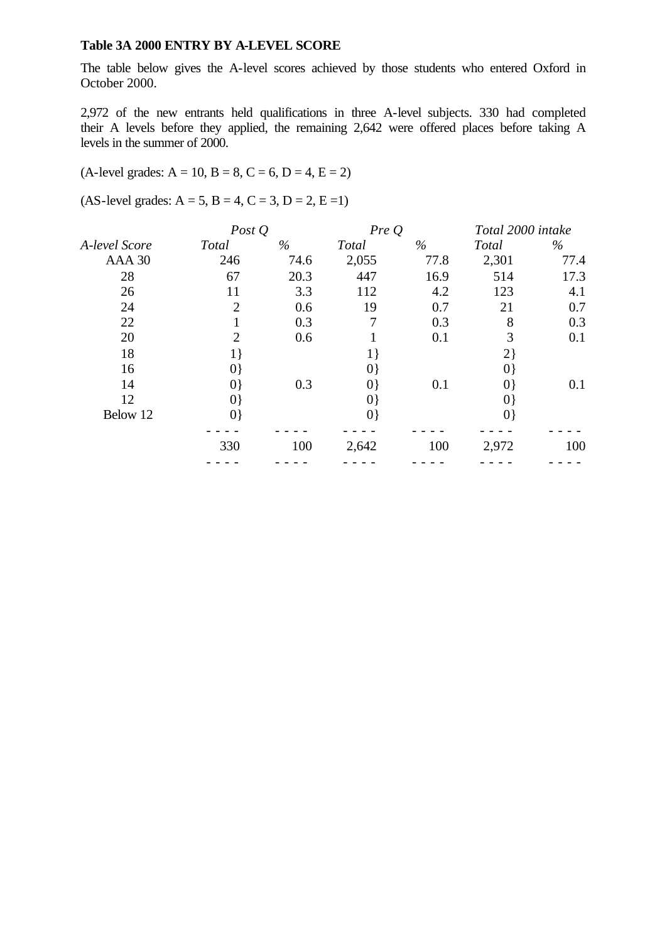#### **Table 3A 2000 ENTRY BY A-LEVEL SCORE**

The table below gives the A-level scores achieved by those students who entered Oxford in October 2000.

2,972 of the new entrants held qualifications in three A-level subjects. 330 had completed their A levels before they applied, the remaining 2,642 were offered places before taking A levels in the summer of 2000.

# $(A$ -level grades:  $A = 10$ ,  $B = 8$ ,  $C = 6$ ,  $D = 4$ ,  $E = 2$ )

 $(AS-level grades: A = 5, B = 4, C = 3, D = 2, E = 1)$ 

|               | Post $Q$       |      | PreQ         |      | Total 2000 intake |      |
|---------------|----------------|------|--------------|------|-------------------|------|
| A-level Score | <b>Total</b>   | $\%$ | <b>Total</b> | $\%$ | Total             | $\%$ |
| AAA 30        | 246            | 74.6 | 2,055        | 77.8 | 2,301             | 77.4 |
| 28            | 67             | 20.3 | 447          | 16.9 | 514               | 17.3 |
| 26            | 11             | 3.3  | 112          | 4.2  | 123               | 4.1  |
| 24            | $\overline{2}$ | 0.6  | 19           | 0.7  | 21                | 0.7  |
| 22            |                | 0.3  | 7            | 0.3  | 8                 | 0.3  |
| 20            | $\overline{2}$ | 0.6  |              | 0.1  | 3                 | 0.1  |
| 18            | $1\}$          |      |              |      | $2\}$             |      |
| 16            | $ 0\rangle$    |      | $ 0\rangle$  |      | $ 0\rangle$       |      |
| 14            | $ 0\rangle$    | 0.3  | $ 0\rangle$  | 0.1  | $ 0\rangle$       | 0.1  |
| 12            | $ 0\rangle$    |      | $ 0\rangle$  |      | $ 0\rangle$       |      |
| Below 12      | $ 0\rangle$    |      | $ 0\rangle$  |      | $ 0\rangle$       |      |
|               |                |      |              |      |                   |      |
|               | 330            | 100  | 2,642        | 100  | 2,972             | 100  |
|               |                |      |              |      |                   |      |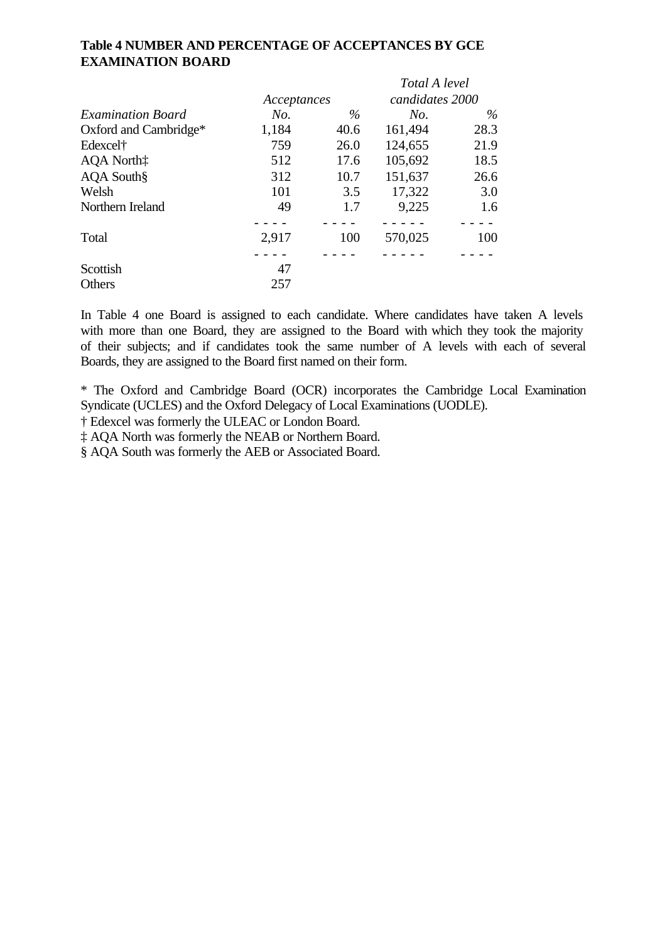## **Table 4 NUMBER AND PERCENTAGE OF ACCEPTANCES BY GCE EXAMINATION BOARD**

|                          |             |      | Total A level   |      |  |
|--------------------------|-------------|------|-----------------|------|--|
|                          | Acceptances |      | candidates 2000 |      |  |
| <b>Examination Board</b> | No.         | $\%$ | No.             | $\%$ |  |
| Oxford and Cambridge*    | 1,184       | 40.6 | 161,494         | 28.3 |  |
| Edexcel <sup>†</sup>     | 759         | 26.0 | 124,655         | 21.9 |  |
| AQA North:               | 512         | 17.6 | 105,692         | 18.5 |  |
| AQA South§               | 312         | 10.7 | 151,637         | 26.6 |  |
| Welsh                    | 101         | 3.5  | 17,322          | 3.0  |  |
| Northern Ireland         | 49          | 1.7  | 9,225           | 1.6  |  |
|                          |             |      |                 |      |  |
| Total                    | 2,917       | 100  | 570,025         | 100  |  |
|                          |             |      |                 |      |  |
| Scottish                 | 47          |      |                 |      |  |
| Others                   | 257         |      |                 |      |  |

In Table 4 one Board is assigned to each candidate. Where candidates have taken A levels with more than one Board, they are assigned to the Board with which they took the majority of their subjects; and if candidates took the same number of A levels with each of several Boards, they are assigned to the Board first named on their form.

\* The Oxford and Cambridge Board (OCR) incorporates the Cambridge Local Examination Syndicate (UCLES) and the Oxford Delegacy of Local Examinations (UODLE).

† Edexcel was formerly the ULEAC or London Board.

‡ AQA North was formerly the NEAB or Northern Board.

§ AQA South was formerly the AEB or Associated Board.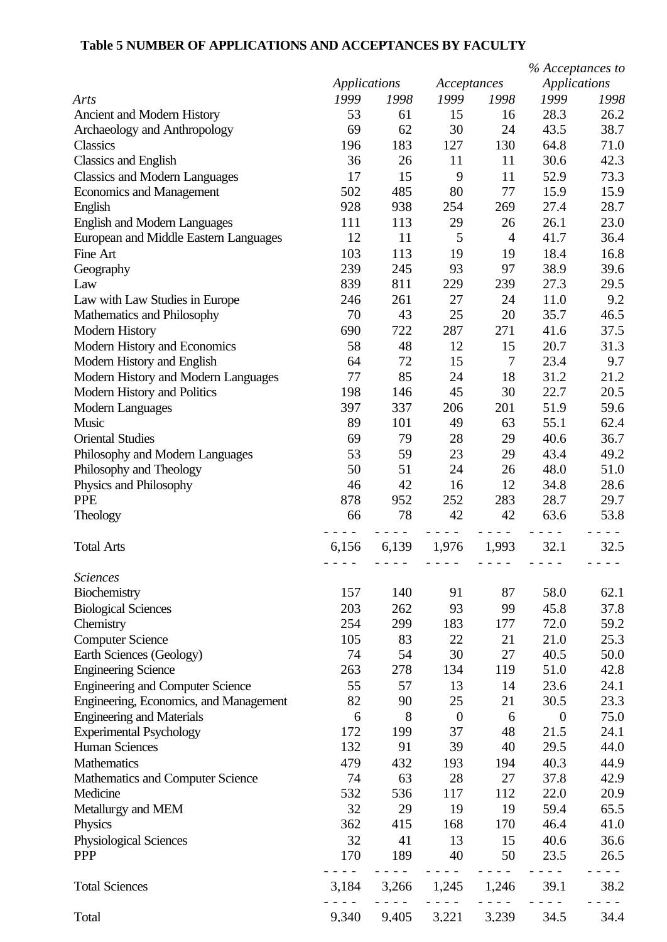# **Table 5 NUMBER OF APPLICATIONS AND ACCEPTANCES BY FACULTY**

|                                         |              |       |                  |                                   | % Acceptances to    |      |
|-----------------------------------------|--------------|-------|------------------|-----------------------------------|---------------------|------|
|                                         | Applications |       | Acceptances      |                                   | <b>Applications</b> |      |
| Arts                                    | 1999         | 1998  | 1999             | 1998                              | 1999                | 1998 |
| Ancient and Modern History              | 53           | 61    | 15               | 16                                | 28.3                | 26.2 |
| Archaeology and Anthropology            | 69           | 62    | 30               | 24                                | 43.5                | 38.7 |
| <b>Classics</b>                         | 196          | 183   | 127              | 130                               | 64.8                | 71.0 |
| <b>Classics and English</b>             | 36           | 26    | 11               | 11                                | 30.6                | 42.3 |
| <b>Classics and Modern Languages</b>    | 17           | 15    | 9                | 11                                | 52.9                | 73.3 |
| <b>Economics and Management</b>         | 502          | 485   | 80               | 77                                | 15.9                | 15.9 |
| English                                 | 928          | 938   | 254              | 269                               | 27.4                | 28.7 |
| <b>English and Modern Languages</b>     | 111          | 113   | 29               | 26                                | 26.1                | 23.0 |
| European and Middle Eastern Languages   | 12           | 11    | 5                | $\overline{4}$                    | 41.7                | 36.4 |
| Fine Art                                | 103          | 113   | 19               | 19                                | 18.4                | 16.8 |
| Geography                               | 239          | 245   | 93               | 97                                | 38.9                | 39.6 |
| Law                                     | 839          | 811   | 229              | 239                               | 27.3                | 29.5 |
| Law with Law Studies in Europe          | 246          | 261   | 27               | 24                                | 11.0                | 9.2  |
| Mathematics and Philosophy              | 70           | 43    | 25               | 20                                | 35.7                | 46.5 |
| <b>Modern History</b>                   | 690          | 722   | 287              | 271                               | 41.6                | 37.5 |
| Modern History and Economics            | 58           | 48    | 12               | 15                                | 20.7                | 31.3 |
| Modern History and English              | 64           | 72    | 15               | $\overline{7}$                    | 23.4                | 9.7  |
| Modern History and Modern Languages     | 77           | 85    | 24               | 18                                | 31.2                | 21.2 |
| Modern History and Politics             | 198          | 146   | 45               | 30                                | 22.7                | 20.5 |
| Modern Languages                        | 397          | 337   | 206              | 201                               | 51.9                | 59.6 |
| Music                                   | 89           | 101   | 49               | 63                                | 55.1                | 62.4 |
| <b>Oriental Studies</b>                 | 69           | 79    | 28               | 29                                | 40.6                | 36.7 |
| Philosophy and Modern Languages         | 53           | 59    | 23               | 29                                | 43.4                | 49.2 |
| Philosophy and Theology                 | 50           | 51    | 24               | 26                                | 48.0                | 51.0 |
| Physics and Philosophy                  | 46           | 42    | 16               | 12                                | 34.8                | 28.6 |
| <b>PPE</b>                              | 878          | 952   | 252              | 283                               | 28.7                | 29.7 |
| Theology                                | 66           | 78    | 42               | 42                                | 63.6                | 53.8 |
| <b>Total Arts</b>                       | 6,156        | 6,139 | 1,976            | 1,993                             | 32.1                | 32.5 |
| <b>Sciences</b>                         |              |       |                  |                                   |                     |      |
| Biochemistry                            | 157          | 140   | 91               | 87                                | 58.0                | 62.1 |
| <b>Biological Sciences</b>              | 203          | 262   | 93               | 99                                | 45.8                | 37.8 |
| Chemistry                               | 254          | 299   | 183              | 177                               | 72.0                | 59.2 |
| <b>Computer Science</b>                 | 105          | 83    | 22               | 21                                | 21.0                | 25.3 |
| Earth Sciences (Geology)                | 74           | 54    | 30               | 27                                | 40.5                | 50.0 |
| <b>Engineering Science</b>              | 263          | 278   | 134              | 119                               | 51.0                | 42.8 |
| <b>Engineering and Computer Science</b> | 55           | 57    | 13               | 14                                | 23.6                | 24.1 |
| Engineering, Economics, and Management  | 82           | 90    | 25               | 21                                | 30.5                | 23.3 |
| <b>Engineering and Materials</b>        | 6            | 8     | $\boldsymbol{0}$ | 6                                 | $\overline{0}$      | 75.0 |
| <b>Experimental Psychology</b>          | 172          | 199   | 37               | 48                                | 21.5                | 24.1 |
| <b>Human Sciences</b>                   | 132          | 91    | 39               | 40                                | 29.5                | 44.0 |
| Mathematics                             | 479          | 432   | 193              | 194                               | 40.3                | 44.9 |
| Mathematics and Computer Science        | 74           | 63    | 28               | 27                                | 37.8                | 42.9 |
| Medicine                                | 532          | 536   | 117              | 112                               | 22.0                | 20.9 |
| Metallurgy and MEM                      | 32           | 29    | 19               | 19                                | 59.4                | 65.5 |
| Physics                                 | 362          | 415   | 168              | 170                               | 46.4                | 41.0 |
| Physiological Sciences                  | 32           | 41    | 13               | 15                                | 40.6                | 36.6 |
| <b>PPP</b>                              | 170          | 189   | 40               | 50                                | 23.5                | 26.5 |
| <b>Total Sciences</b>                   | 3,184        | 3,266 | 1,245            | $\overline{\phantom{a}}$<br>1,246 | 39.1                | 38.2 |
| Total                                   | 9.340        | 9.405 | 3.221            | 3.239                             | 34.5                | 34.4 |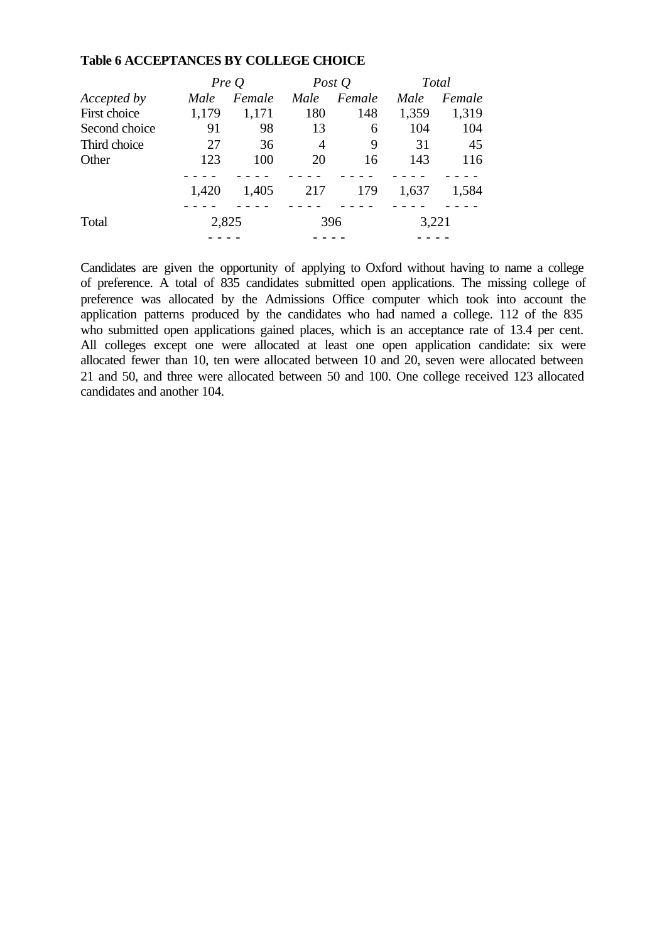#### **Table 6 ACCEPTANCES BY COLLEGE CHOICE**

|               |       | PreQ   |      | Post $Q$ |       | Total  |
|---------------|-------|--------|------|----------|-------|--------|
| Accepted by   | Male  | Female | Male | Female   | Male  | Female |
| First choice  | 1,179 | 1,171  | 180  | 148      | 1,359 | 1,319  |
| Second choice | 91    | 98     | 13   | 6        | 104   | 104    |
| Third choice  | 27    | 36     | 4    | 9        | 31    | 45     |
| Other         | 123   | 100    | 20   | 16       | 143   | 116    |
|               | 1,420 | 1,405  | 217  | 179      | 1,637 | 1,584  |
| Total         |       | 2,825  |      | 396      |       | 3,221  |
|               |       |        |      |          |       |        |

Candidates are given the opportunity of applying to Oxford without having to name a college of preference. A total of 835 candidates submitted open applications. The missing college of preference was allocated by the Admissions Office computer which took into account the application patterns produced by the candidates who had named a college. 112 of the 835 who submitted open applications gained places, which is an acceptance rate of 13.4 per cent. All colleges except one were allocated at least one open application candidate: six were allocated fewer than 10, ten were allocated between 10 and 20, seven were allocated between 21 and 50, and three were allocated between 50 and 100. One college received 123 allocated candidates and another 104.